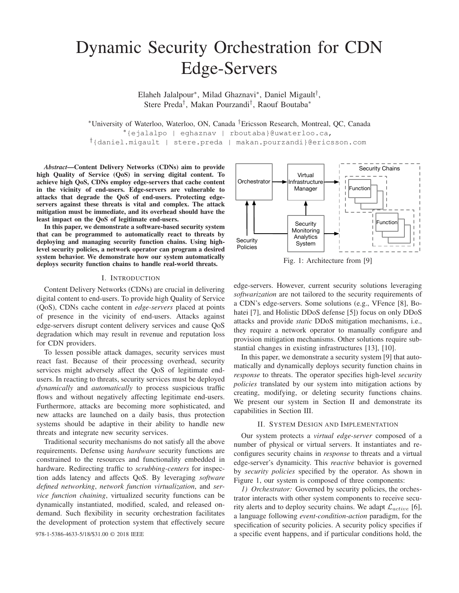# Dynamic Security Orchestration for CDN Edge-Servers

Elaheh Jalalpour<sup>∗</sup> , Milad Ghaznavi<sup>∗</sup> , Daniel Migault† , Stere Preda† , Makan Pourzandi† , Raouf Boutaba<sup>∗</sup>

<sup>∗</sup>University of Waterloo, Waterloo, ON, Canada †Ericsson Research, Montreal, QC, Canada

<sup>∗</sup>{ejalalpo | eghaznav | rboutaba}@uwaterloo.ca,

†{daniel.migault | stere.preda | makan.pourzandi}@ericsson.com

*Abstract*—Content Delivery Networks (CDNs) aim to provide high Quality of Service (QoS) in serving digital content. To achieve high QoS, CDNs employ edge-servers that cache content in the vicinity of end-users. Edge-servers are vulnerable to attacks that degrade the QoS of end-users. Protecting edgeservers against these threats is vital and complex. The attack mitigation must be immediate, and its overhead should have the least impact on the QoS of legitimate end-users.

In this paper, we demonstrate a software-based security system that can be programmed to automatically react to threats by deploying and managing security function chains. Using highlevel security policies, a network operator can program a desired system behavior. We demonstrate how our system automatically deploys security function chains to handle real-world threats.

## I. INTRODUCTION

Content Delivery Networks (CDNs) are crucial in delivering digital content to end-users. To provide high Quality of Service (QoS), CDNs cache content in *edge-servers* placed at points of presence in the vicinity of end-users. Attacks against edge-servers disrupt content delivery services and cause QoS degradation which may result in revenue and reputation loss for CDN providers.

To lessen possible attack damages, security services must react fast. Because of their processing overhead, security services might adversely affect the QoS of legitimate endusers. In reacting to threats, security services must be deployed *dynamically* and *automatically* to process suspicious traffic flows and without negatively affecting legitimate end-users. Furthermore, attacks are becoming more sophisticated, and new attacks are launched on a daily basis, thus protection systems should be adaptive in their ability to handle new threats and integrate new security services.

Traditional security mechanisms do not satisfy all the above requirements. Defense using *hardware* security functions are constrained to the resources and functionality embedded in hardware. Redirecting traffic to *scrubbing-centers* for inspection adds latency and affects QoS. By leveraging *software defined networking*, *network function virtualization*, and *service function chaining*, virtualized security functions can be dynamically instantiated, modified, scaled, and released ondemand. Such flexibility in security orchestration facilitates the development of protection system that effectively secure



Fig. 1: Architecture from [9]

edge-servers. However, current security solutions leveraging *softwarization* are not tailored to the security requirements of a CDN's edge-servers. Some solutions (e.g., VFence [8], Bohatei [7], and Holistic DDoS defense [5]) focus on only DDoS attacks and provide *static* DDoS mitigation mechanisms, i.e., they require a network operator to manually configure and provision mitigation mechanisms. Other solutions require substantial changes in existing infrastructures [13], [10].

In this paper, we demonstrate a security system [9] that automatically and dynamically deploys security function chains in *response* to threats. The operator specifies high-level *security policies* translated by our system into mitigation actions by creating, modifying, or deleting security functions chains. We present our system in Section II and demonstrate its capabilities in Section III.

# II. SYSTEM DESIGN AND IMPLEMENTATION

Our system protects a *virtual edge-server* composed of a number of physical or virtual servers. It instantiates and reconfigures security chains in *response* to threats and a virtual edge-server's dynamicity. This *reactive* behavior is governed by *security policies* specified by the operator. As shown in Figure 1, our system is composed of three components:

*1) Orchestrator:* Governed by security policies, the orchestrator interacts with other system components to receive security alerts and to deploy security chains. We adapt  $\mathcal{L}_{active}$  [6], a language following *event-condition-action* paradigm, for the specification of security policies. A security policy specifies if 978-1-5386-4633-5/18/\$31.00 © 2018 IEEE a specific event happens, and if particular conditions hold, the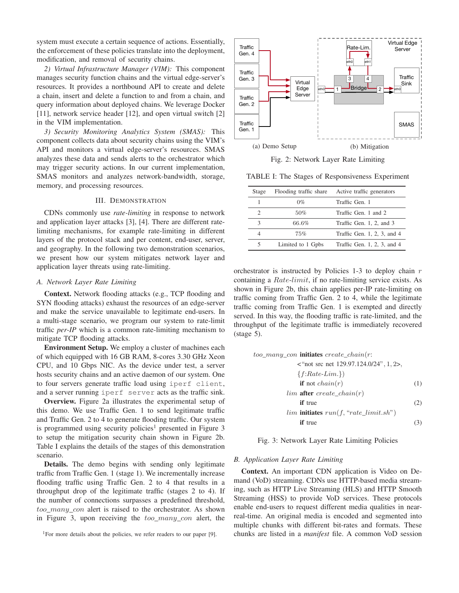system must execute a certain sequence of actions. Essentially, the enforcement of these policies translate into the deployment, modification, and removal of security chains.

*2) Virtual Infrastructure Manager (VIM):* This component manages security function chains and the virtual edge-server's resources. It provides a northbound API to create and delete a chain, insert and delete a function to and from a chain, and query information about deployed chains. We leverage Docker [11], network service header [12], and open virtual switch [2] in the VIM implementation.

*3) Security Monitoring Analytics System (SMAS):* This component collects data about security chains using the VIM's API and monitors a virtual edge-server's resources. SMAS analyzes these data and sends alerts to the orchestrator which may trigger security actions. In our current implementation, SMAS monitors and analyzes network-bandwidth, storage, memory, and processing resources.

# III. DEMONSTRATION

CDNs commonly use *rate-limiting* in response to network and application layer attacks [3], [4]. There are different ratelimiting mechanisms, for example rate-limiting in different layers of the protocol stack and per content, end-user, server, and geography. In the following two demonstration scenarios, we present how our system mitigates network layer and application layer threats using rate-limiting.

### *A. Network Layer Rate Limiting*

Context. Network flooding attacks (e.g., TCP flooding and SYN flooding attacks) exhaust the resources of an edge-server and make the service unavailable to legitimate end-users. In a multi-stage scenario, we program our system to rate-limit traffic *per-IP* which is a common rate-limiting mechanism to mitigate TCP flooding attacks.

**Environment Setup.** We employ a cluster of machines each of which equipped with 16 GB RAM, 8-cores 3.30 GHz Xeon CPU, and 10 Gbps NIC. As the device under test, a server hosts security chains and an active daemon of our system. One to four servers generate traffic load using iperf client, and a server running iperf server acts as the traffic sink.

Overview. Figure 2a illustrates the experimental setup of this demo. We use Traffic Gen. 1 to send legitimate traffic and Traffic Gen. 2 to 4 to generate flooding traffic. Our system is programmed using security policies<sup>1</sup> presented in Figure 3 to setup the mitigation security chain shown in Figure 2b. Table I explains the details of the stages of this demonstration scenario.

Details. The demo begins with sending only legitimate traffic from Traffic Gen. 1 (stage 1). We incrementally increase flooding traffic using Traffic Gen. 2 to 4 that results in a throughput drop of the legitimate traffic (stages 2 to 4). If the number of connections surpasses a predefined threshold, too many con alert is raised to the orchestrator. As shown in Figure 3, upon receiving the too\_many\_con alert, the



Fig. 2: Network Layer Rate Limiting

TABLE I: The Stages of Responsiveness Experiment

| Stage |                   | Flooding traffic share Active traffic generators |
|-------|-------------------|--------------------------------------------------|
|       | $0\%$             | Traffic Gen. 1                                   |
|       | 50%               | Traffic Gen. 1 and 2                             |
| ٩     | 66.6%             | Traffic Gen. 1, 2, and 3                         |
| 4     | 75%               | Traffic Gen. 1, 2, 3, and 4                      |
|       | Limited to 1 Gpbs | Traffic Gen. 1, 2, 3, and 4                      |

orchestrator is instructed by Policies 1-3 to deploy chain  $r$ containing a Rate-limit, if no rate-limiting service exists. As shown in Figure 2b, this chain applies per-IP rate-limiting on traffic coming from Traffic Gen. 2 to 4, while the legitimate traffic coming from Traffic Gen. 1 is exempted and directly served. In this way, the flooding traffic is rate-limited, and the throughput of the legitimate traffic is immediately recovered (stage 5).



Fig. 3: Network Layer Rate Limiting Policies

#### *B. Application Layer Rate Limiting*

Context. An important CDN application is Video on Demand (VoD) streaming. CDNs use HTTP-based media streaming, such as HTTP Live Streaming (HLS) and HTTP Smooth Streaming (HSS) to provide VoD services. These protocols enable end-users to request different media qualities in nearreal-time. An original media is encoded and segmented into multiple chunks with different bit-rates and formats. These chunks are listed in a *manifest* file. A common VoD session

<sup>&</sup>lt;sup>1</sup>For more details about the policies, we refer readers to our paper [9].